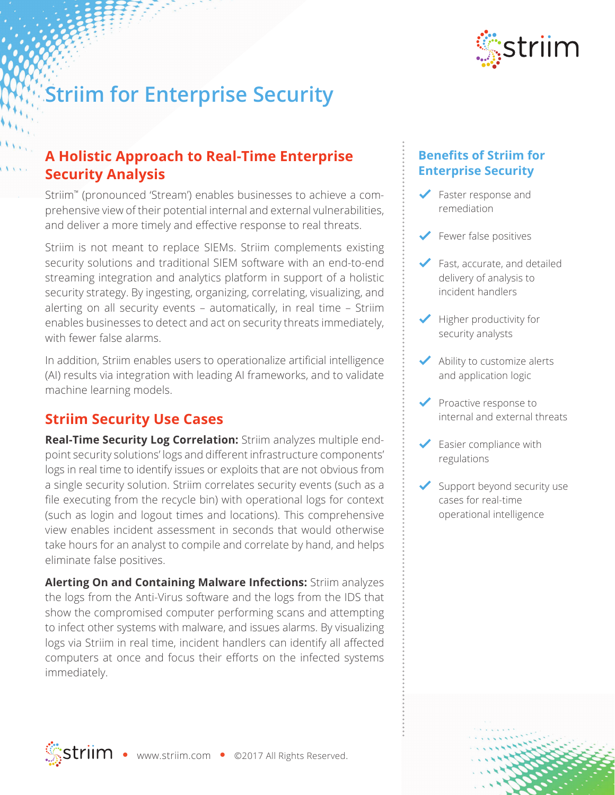

# **Striim for Enterprise Security**

### **A Holistic Approach to Real-Time Enterprise Security Analysis**

Striim™ (pronounced 'Stream') enables businesses to achieve a comprehensive view of their potential internal and external vulnerabilities, and deliver a more timely and effective response to real threats.

Striim is not meant to replace SIEMs. Striim complements existing security solutions and traditional SIEM software with an end-to-end streaming integration and analytics platform in support of a holistic security strategy. By ingesting, organizing, correlating, visualizing, and alerting on all security events – automatically, in real time – Striim enables businesses to detect and act on security threats immediately, with fewer false alarms.

In addition, Striim enables users to operationalize artificial intelligence (AI) results via integration with leading AI frameworks, and to validate machine learning models.

#### **Striim Security Use Cases**

**Real-Time Security Log Correlation:** Striim analyzes multiple endpoint security solutions' logs and different infrastructure components' logs in real time to identify issues or exploits that are not obvious from a single security solution. Striim correlates security events (such as a file executing from the recycle bin) with operational logs for context (such as login and logout times and locations). This comprehensive view enables incident assessment in seconds that would otherwise take hours for an analyst to compile and correlate by hand, and helps eliminate false positives.

**Alerting On and Containing Malware Infections:** Striim analyzes the logs from the Anti-Virus software and the logs from the IDS that show the compromised computer performing scans and attempting to infect other systems with malware, and issues alarms. By visualizing logs via Striim in real time, incident handlers can identify all affected computers at once and focus their efforts on the infected systems immediately.

#### **Benefits of Striim for Enterprise Security**

- Faster response and remediation
- Fewer false positives
- $\blacktriangleright$  Fast, accurate, and detailed delivery of analysis to incident handlers
- $\blacktriangleright$  Higher productivity for security analysts
- $\blacktriangleright$  Ability to customize alerts and application logic
- Proactive response to internal and external threats
- $\blacktriangleright$  Easier compliance with regulations
- Support beyond security use cases for real-time operational intelligence